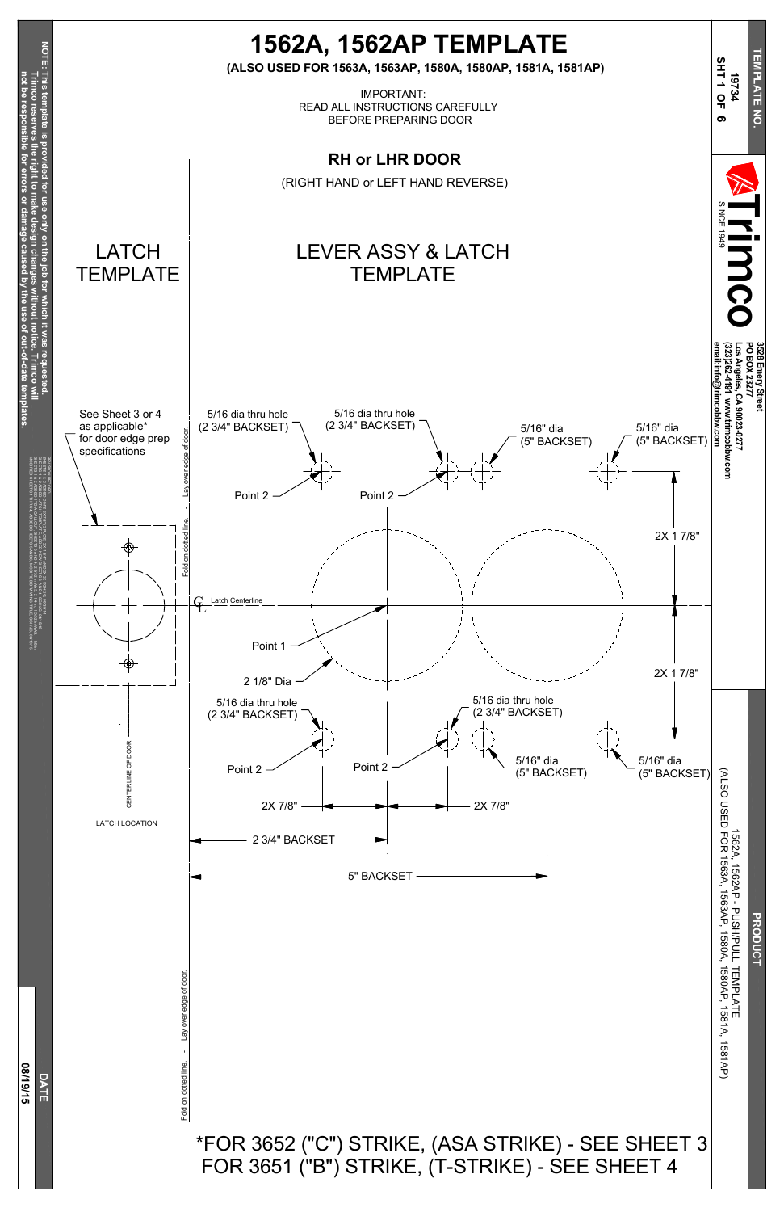

Fold on dotted line.  $\qquad -$  Lay over edge of door. Lay over edge of door Fold on dotted line.



## \*FOR 3652 ("C") STRIKE, (ASA STRIKE) - SEE SHEET 3 FOR 3651 ("B") STRIKE, (T-STRIKE) - SEE SHEET 4

P - PUSH/PULL TEMPLATE 1563AP, 15 8 0 A, 1580AP, ភ<br>បា 81A, ನ 81<br>R 그

**PRODUCT**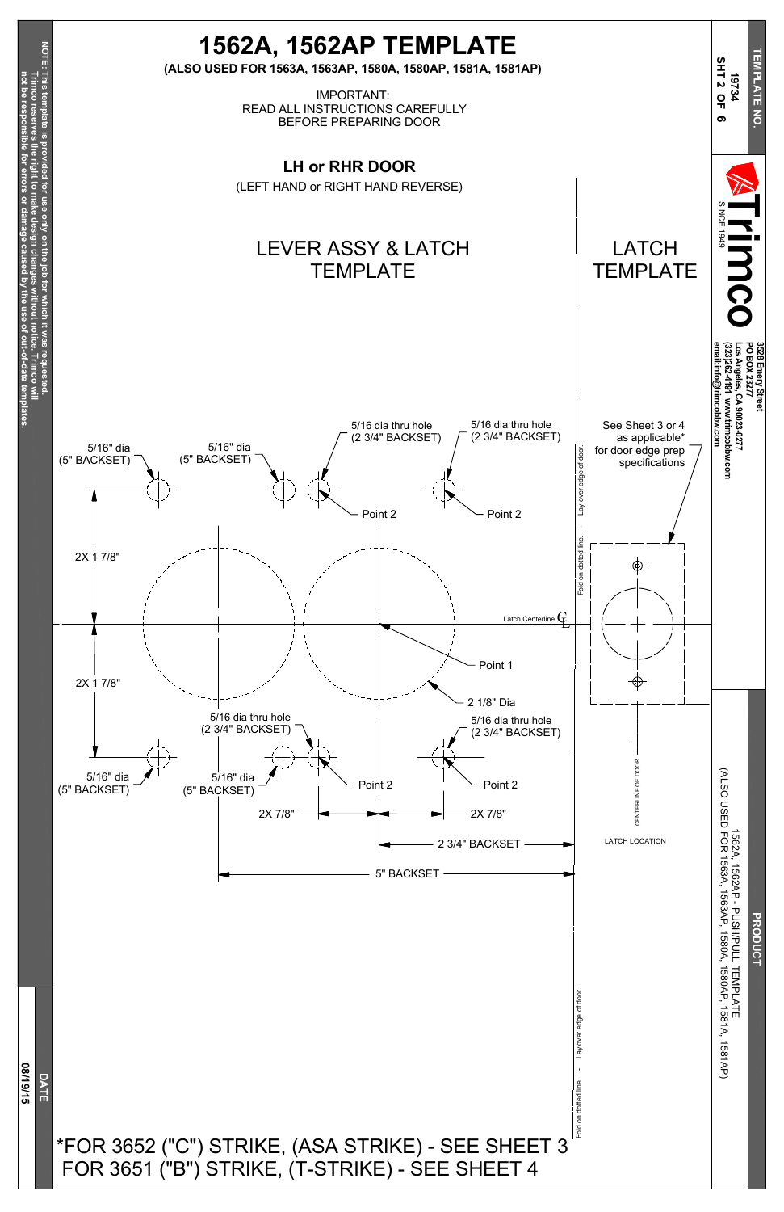**not be resp**

**onsible**

**for**

**errors**

**or**

**damage**

**caused**

**b y the use of**

**out-of-date**

**tem**

**plates.**



Fold on dotted line. - Lay over edge of door. Lay over edge of door Fold on dotted line.

P - PUSH/PULL TEMPLATE 1563AP, 15 8 0 A, 1580AP, ភ<br>បា 81A, ನ 81<br>R 그

**PRODUCT** 



## \*FOR 3652 ("C") STRIKE, (ASA STRIKE) - SEE SHEET 3 FOR 3651 ("B") STRIKE, (T-STRIKE) - SEE SHEET 4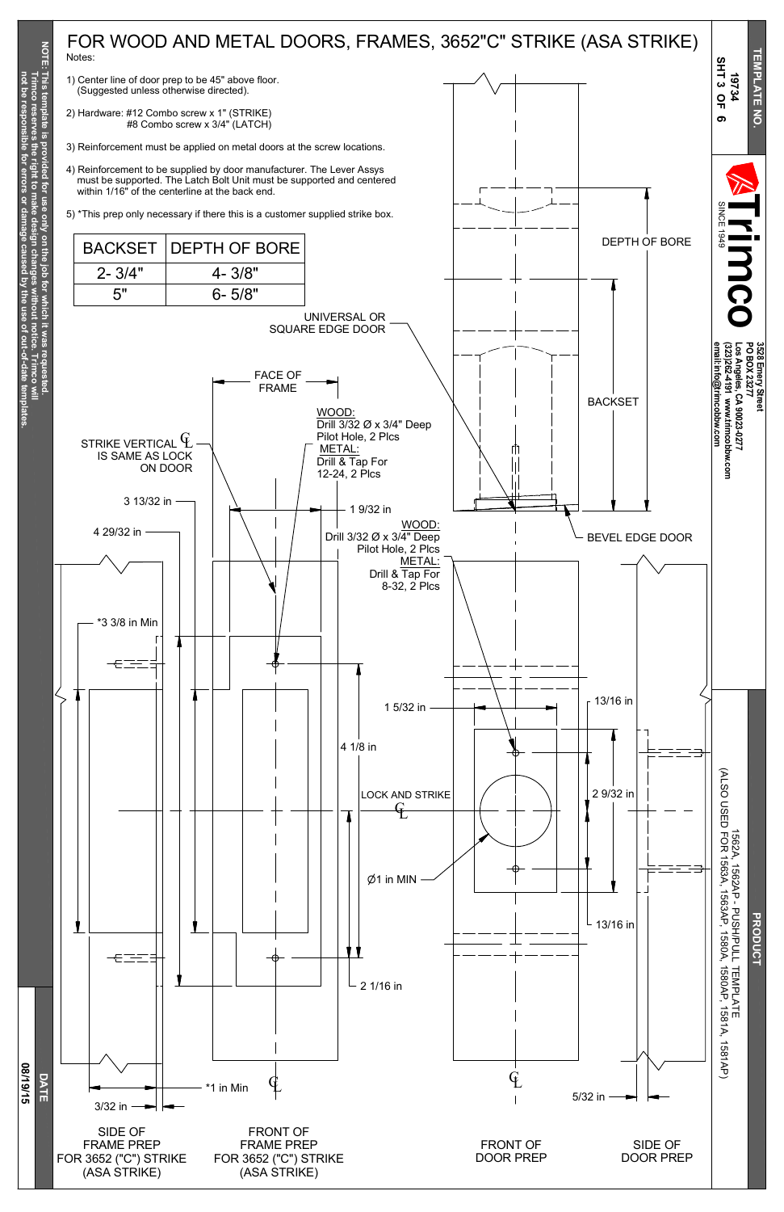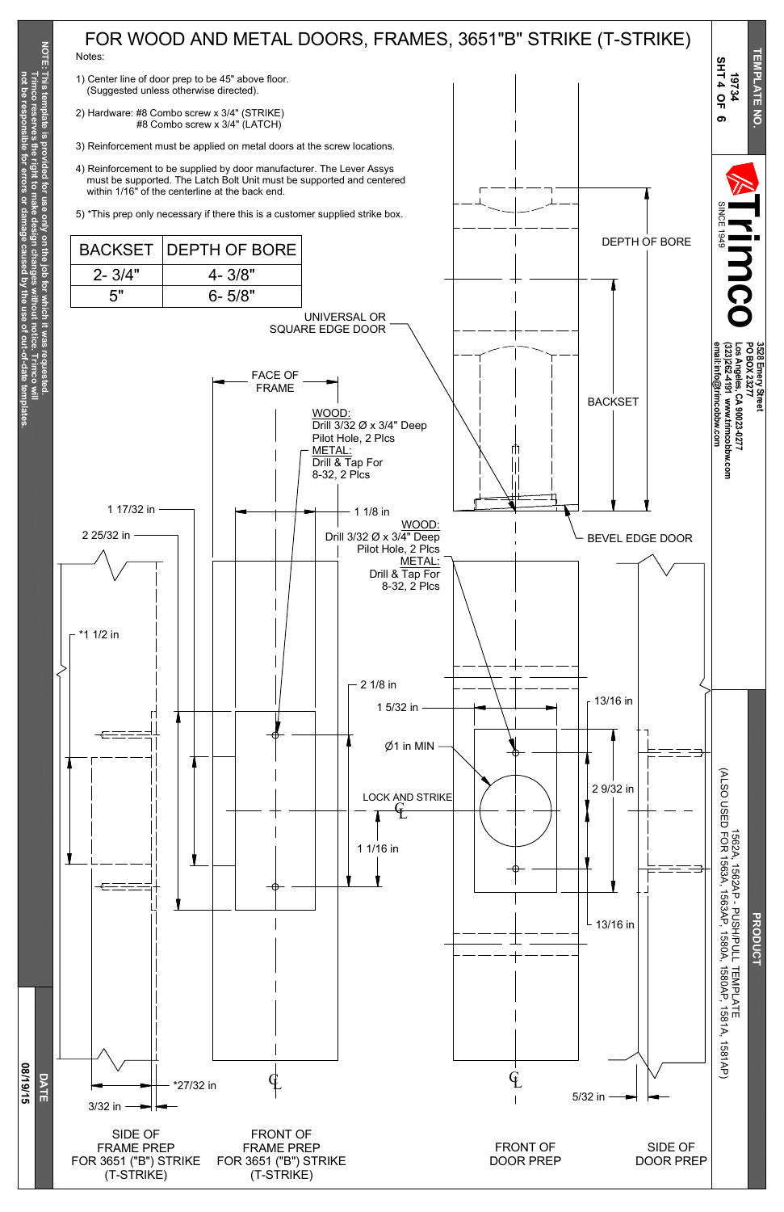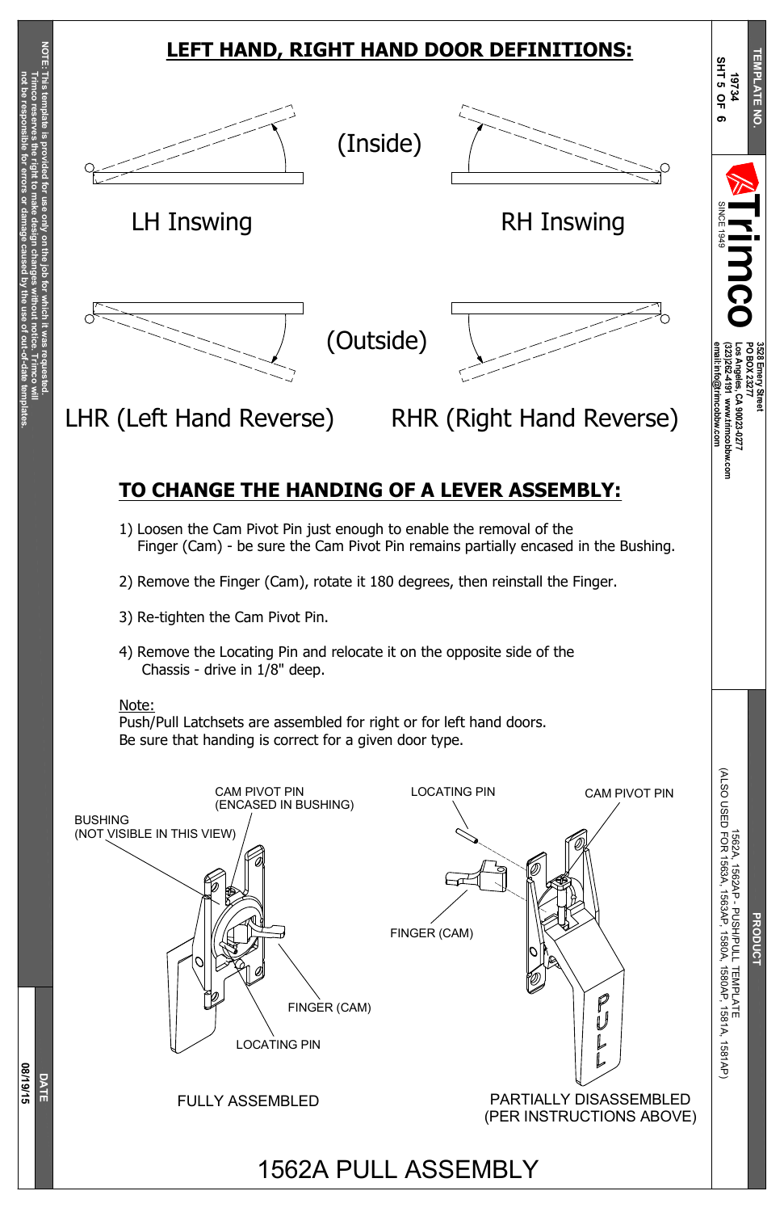**not be resp**

**onsible**

**for**

**errors**

**or**

**damage**

**caused**

**b y the use of**

**out-of-date**

**tem**

**plates.**





**PRODUCT**